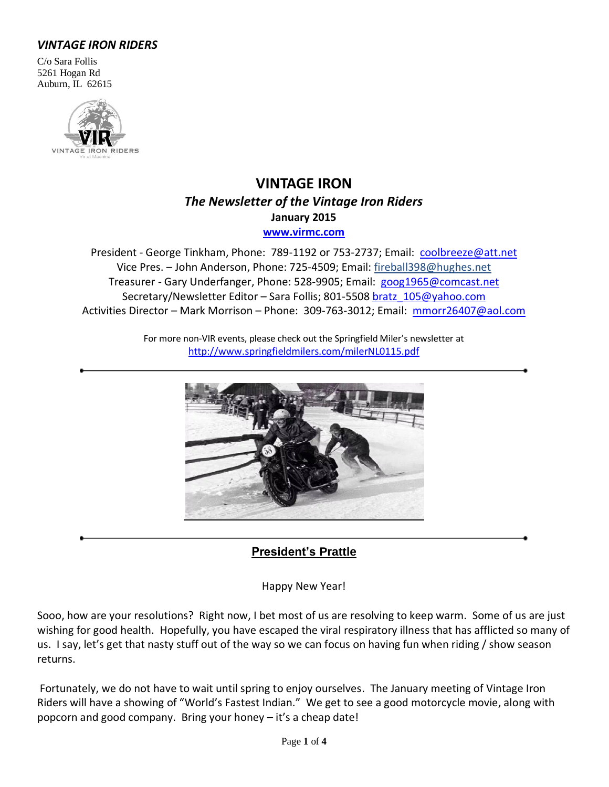### *VINTAGE IRON RIDERS*

C/o Sara Follis 5261 Hogan Rd Auburn, IL 62615



## **VINTAGE IRON** *The Newsletter of the Vintage Iron Riders* **January 2015 [www.virmc.com](http://www.virmc.com/)**

President - George Tinkham, Phone: 789-1192 or 753-2737; Email: [coolbreeze@att.net](mailto:coolbreeze@att.net) Vice Pres. – John Anderson, Phone: 725-4509; Email: fireball398@hughes.net Treasurer - Gary Underfanger, Phone: 528-9905; Email: [goog1965@comcast.net](mailto:goog1965@comcast.net) Secretary/Newsletter Editor - Sara Follis; 801-5508 [bratz\\_105@yahoo.com](mailto:bratz_105@yahoo.com) Activities Director – Mark Morrison – Phone: 309-763-3012; Email: [mmorr26407@aol.com](mailto:mmorr26407@aol.com)

> For more non-VIR events, please check out the Springfield Miler's newsletter at <http://www.springfieldmilers.com/milerNL0115.pdf>



### **President's Prattle**

Happy New Year!

Sooo, how are your resolutions? Right now, I bet most of us are resolving to keep warm. Some of us are just wishing for good health. Hopefully, you have escaped the viral respiratory illness that has afflicted so many of us. I say, let's get that nasty stuff out of the way so we can focus on having fun when riding / show season returns.

Fortunately, we do not have to wait until spring to enjoy ourselves. The January meeting of Vintage Iron Riders will have a showing of "World's Fastest Indian." We get to see a good motorcycle movie, along with popcorn and good company. Bring your honey – it's a cheap date!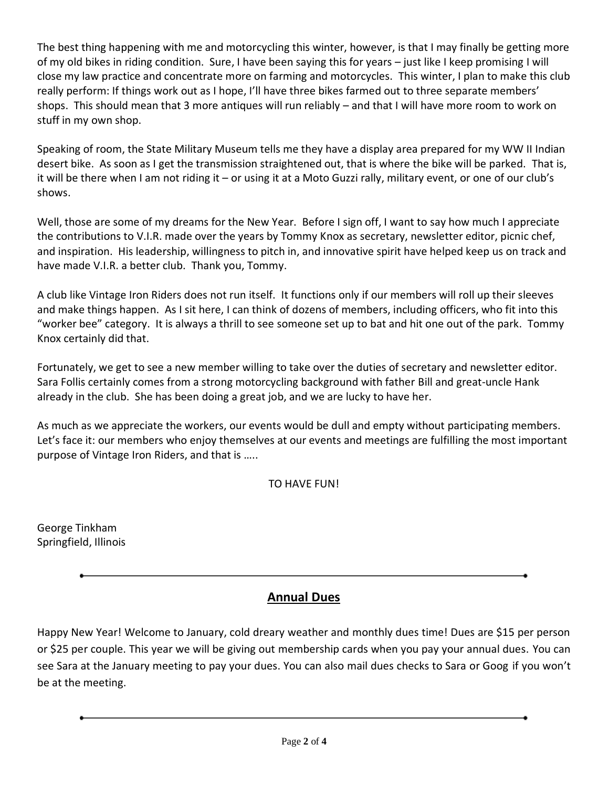The best thing happening with me and motorcycling this winter, however, is that I may finally be getting more of my old bikes in riding condition. Sure, I have been saying this for years – just like I keep promising I will close my law practice and concentrate more on farming and motorcycles. This winter, I plan to make this club really perform: If things work out as I hope, I'll have three bikes farmed out to three separate members' shops. This should mean that 3 more antiques will run reliably – and that I will have more room to work on stuff in my own shop.

Speaking of room, the State Military Museum tells me they have a display area prepared for my WW II Indian desert bike. As soon as I get the transmission straightened out, that is where the bike will be parked. That is, it will be there when I am not riding it – or using it at a Moto Guzzi rally, military event, or one of our club's shows.

Well, those are some of my dreams for the New Year. Before I sign off, I want to say how much I appreciate the contributions to V.I.R. made over the years by Tommy Knox as secretary, newsletter editor, picnic chef, and inspiration. His leadership, willingness to pitch in, and innovative spirit have helped keep us on track and have made V.I.R. a better club. Thank you, Tommy.

A club like Vintage Iron Riders does not run itself. It functions only if our members will roll up their sleeves and make things happen. As I sit here, I can think of dozens of members, including officers, who fit into this "worker bee" category. It is always a thrill to see someone set up to bat and hit one out of the park. Tommy Knox certainly did that.

Fortunately, we get to see a new member willing to take over the duties of secretary and newsletter editor. Sara Follis certainly comes from a strong motorcycling background with father Bill and great-uncle Hank already in the club. She has been doing a great job, and we are lucky to have her.

As much as we appreciate the workers, our events would be dull and empty without participating members. Let's face it: our members who enjoy themselves at our events and meetings are fulfilling the most important purpose of Vintage Iron Riders, and that is …..

TO HAVE FUN!

George Tinkham Springfield, Illinois

# **Annual Dues**

Happy New Year! Welcome to January, cold dreary weather and monthly dues time! Dues are \$15 per person or \$25 per couple. This year we will be giving out membership cards when you pay your annual dues. You can see Sara at the January meeting to pay your dues. You can also mail dues checks to Sara or Goog if you won't be at the meeting.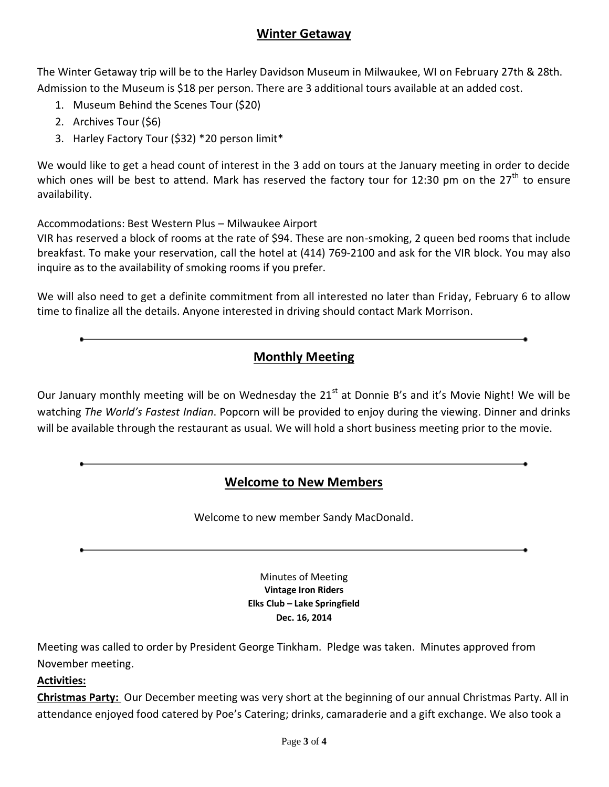### **Winter Getaway**

The Winter Getaway trip will be to the Harley Davidson Museum in Milwaukee, WI on February 27th & 28th. Admission to the Museum is \$18 per person. There are 3 additional tours available at an added cost.

- 1. Museum Behind the Scenes Tour (\$20)
- 2. Archives Tour (\$6)
- 3. Harley Factory Tour (\$32) \*20 person limit\*

We would like to get a head count of interest in the 3 add on tours at the January meeting in order to decide which ones will be best to attend. Mark has reserved the factory tour for 12:30 pm on the 27<sup>th</sup> to ensure availability.

Accommodations: Best Western Plus – Milwaukee Airport

VIR has reserved a block of rooms at the rate of \$94. These are non-smoking, 2 queen bed rooms that include breakfast. To make your reservation, call the hotel at (414) 769-2100 and ask for the VIR block. You may also inquire as to the availability of smoking rooms if you prefer.

We will also need to get a definite commitment from all interested no later than Friday, February 6 to allow time to finalize all the details. Anyone interested in driving should contact Mark Morrison.

# **Monthly Meeting**

Our January monthly meeting will be on Wednesday the 21<sup>st</sup> at Donnie B's and it's Movie Night! We will be watching *The World's Fastest Indian*. Popcorn will be provided to enjoy during the viewing. Dinner and drinks will be available through the restaurant as usual. We will hold a short business meeting prior to the movie.

# **Welcome to New Members**

Welcome to new member Sandy MacDonald.

Minutes of Meeting **Vintage Iron Riders Elks Club – Lake Springfield Dec. 16, 2014**

Meeting was called to order by President George Tinkham. Pledge was taken. Minutes approved from November meeting.

### **Activities:**

**Christmas Party:** Our December meeting was very short at the beginning of our annual Christmas Party. All in attendance enjoyed food catered by Poe's Catering; drinks, camaraderie and a gift exchange. We also took a